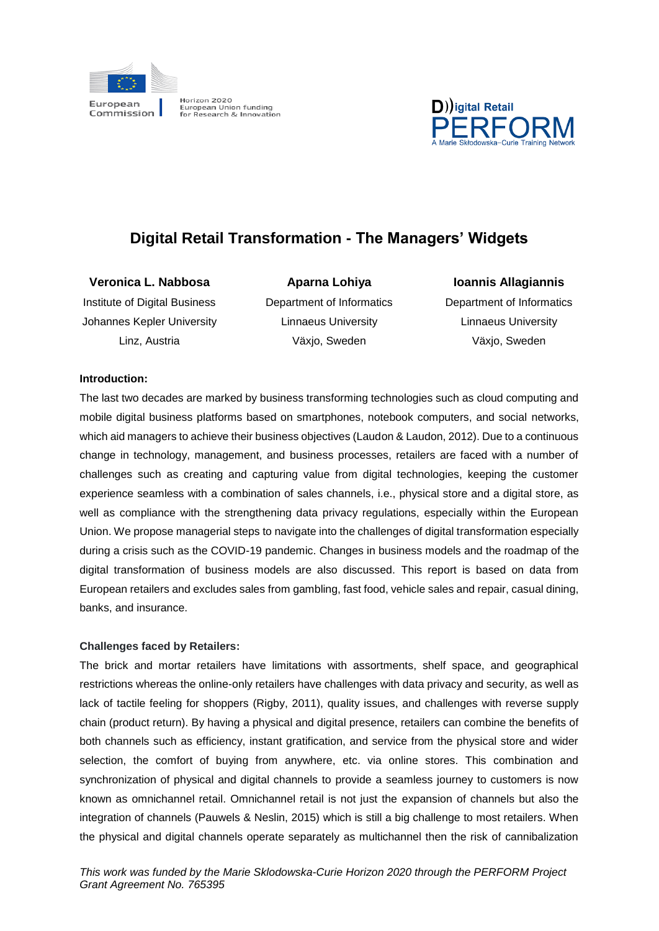



# **Digital Retail Transformation - The Managers' Widgets**

**Veronica L. Nabbosa**  Institute of Digital Business

Johannes Kepler University Linz, Austria

Department of Informatics Linnaeus University Växjo, Sweden

**Aparna Lohiya** 

**Ioannis Allagiannis** Department of Informatics Linnaeus University Växjo, Sweden

## **Introduction:**

The last two decades are marked by business transforming technologies such as cloud computing and mobile digital business platforms based on smartphones, notebook computers, and social networks, which aid managers to achieve their business objectives (Laudon & Laudon, 2012). Due to a continuous change in technology, management, and business processes, retailers are faced with a number of challenges such as creating and capturing value from digital technologies, keeping the customer experience seamless with a combination of sales channels, i.e., physical store and a digital store, as well as compliance with the strengthening data privacy regulations, especially within the European Union. We propose managerial steps to navigate into the challenges of digital transformation especially during a crisis such as the COVID-19 pandemic. Changes in business models and the roadmap of the digital transformation of business models are also discussed. This report is based on data from European retailers and excludes sales from gambling, fast food, vehicle sales and repair, casual dining, banks, and insurance.

## **Challenges faced by Retailers:**

The brick and mortar retailers have limitations with assortments, shelf space, and geographical restrictions whereas the online-only retailers have challenges with data privacy and security, as well as lack of tactile feeling for shoppers (Rigby, 2011), quality issues, and challenges with reverse supply chain (product return). By having a physical and digital presence, retailers can combine the benefits of both channels such as efficiency, instant gratification, and service from the physical store and wider selection, the comfort of buying from anywhere, etc. via online stores. This combination and synchronization of physical and digital channels to provide a seamless journey to customers is now known as omnichannel retail. Omnichannel retail is not just the expansion of channels but also the integration of channels (Pauwels & Neslin, 2015) which is still a big challenge to most retailers. When the physical and digital channels operate separately as multichannel then the risk of cannibalization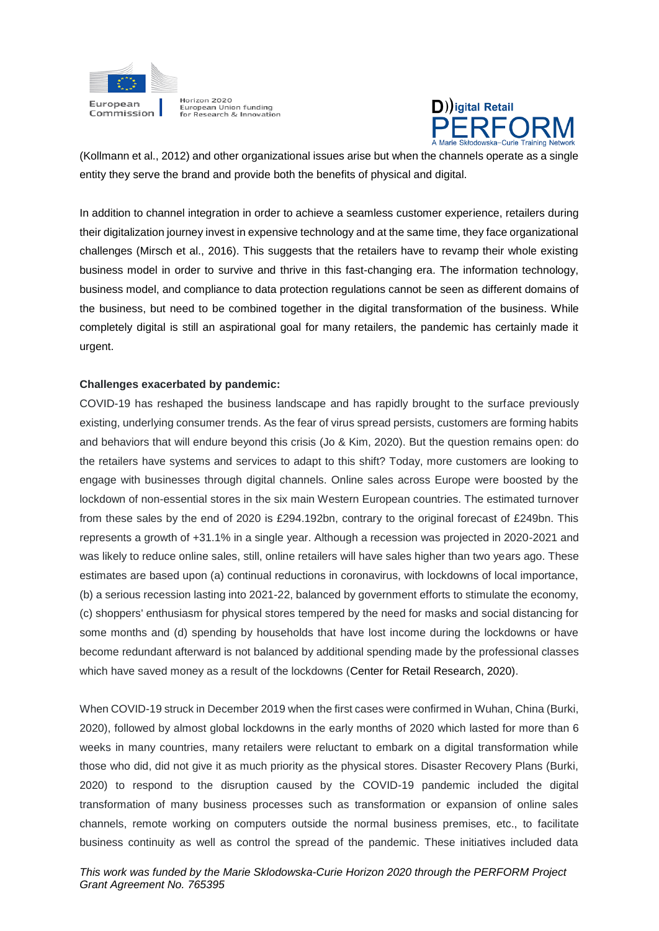



(Kollmann et al., 2012) and other organizational issues arise but when the channels operate as a single entity they serve the brand and provide both the benefits of physical and digital.

In addition to channel integration in order to achieve a seamless customer experience, retailers during their digitalization journey invest in expensive technology and at the same time, they face organizational challenges (Mirsch et al., 2016). This suggests that the retailers have to revamp their whole existing business model in order to survive and thrive in this fast-changing era. The information technology, business model, and compliance to data protection regulations cannot be seen as different domains of the business, but need to be combined together in the digital transformation of the business. While completely digital is still an aspirational goal for many retailers, the pandemic has certainly made it urgent.

#### **Challenges exacerbated by pandemic:**

COVID-19 has reshaped the business landscape and has rapidly brought to the surface previously existing, underlying consumer trends. As the fear of virus spread persists, customers are forming habits and behaviors that will endure beyond this crisis (Jo & Kim, 2020). But the question remains open: do the retailers have systems and services to adapt to this shift? Today, more customers are looking to engage with businesses through digital channels. Online sales across Europe were boosted by the lockdown of non-essential stores in the six main Western European countries. The estimated turnover from these sales by the end of 2020 is £294.192bn, contrary to the original forecast of £249bn. This represents a growth of +31.1% in a single year. Although a recession was projected in 2020-2021 and was likely to reduce online sales, still, online retailers will have sales higher than two years ago. These estimates are based upon (a) continual reductions in coronavirus, with lockdowns of local importance, (b) a serious recession lasting into 2021-22, balanced by government efforts to stimulate the economy, (c) shoppers' enthusiasm for physical stores tempered by the need for masks and social distancing for some months and (d) spending by households that have lost income during the lockdowns or have become redundant afterward is not balanced by additional spending made by the professional classes which have saved money as a result of the lockdowns (Center for Retail Research, 2020).

When COVID-19 struck in December 2019 when the first cases were confirmed in Wuhan, China (Burki, 2020), followed by almost global lockdowns in the early months of 2020 which lasted for more than 6 weeks in many countries, many retailers were reluctant to embark on a digital transformation while those who did, did not give it as much priority as the physical stores. Disaster Recovery Plans (Burki, 2020) to respond to the disruption caused by the COVID-19 pandemic included the digital transformation of many business processes such as transformation or expansion of online sales channels, remote working on computers outside the normal business premises, etc., to facilitate business continuity as well as control the spread of the pandemic. These initiatives included data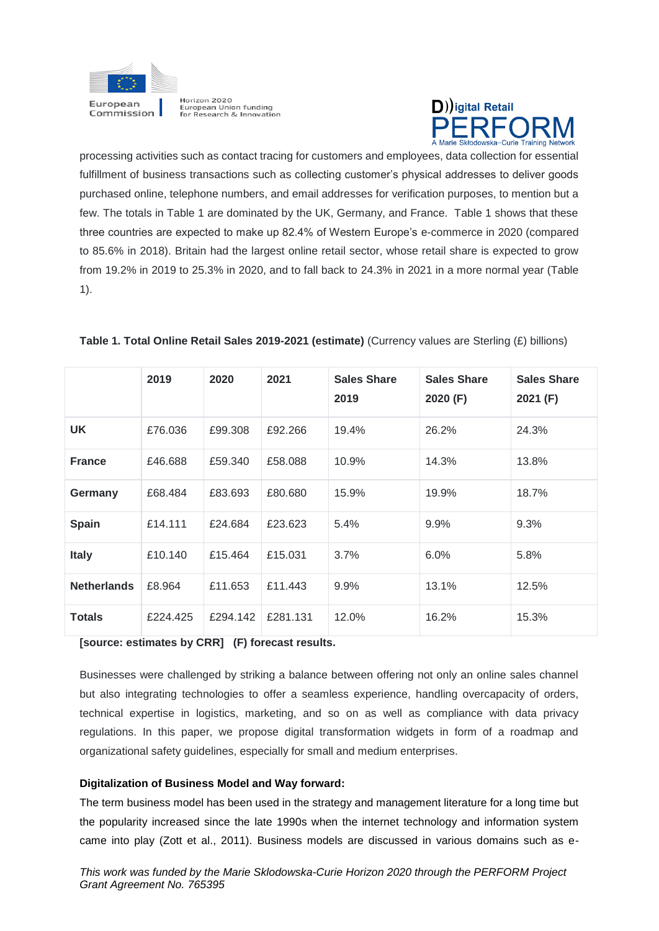



processing activities such as contact tracing for customers and employees, data collection for essential fulfillment of business transactions such as collecting customer's physical addresses to deliver goods purchased online, telephone numbers, and email addresses for verification purposes, to mention but a few. The totals in Table 1 are dominated by the UK, Germany, and France. Table 1 shows that these three countries are expected to make up 82.4% of Western Europe's e-commerce in 2020 (compared to 85.6% in 2018). Britain had the largest online retail sector, whose retail share is expected to grow from 19.2% in 2019 to 25.3% in 2020, and to fall back to 24.3% in 2021 in a more normal year (Table 1).

|                    | 2019     | 2020     | 2021     | <b>Sales Share</b><br>2019 | <b>Sales Share</b><br>2020 (F) | <b>Sales Share</b><br>2021 (F) |
|--------------------|----------|----------|----------|----------------------------|--------------------------------|--------------------------------|
| <b>UK</b>          | £76,036  | £99,308  | £92,266  | 19.4%                      | 26.2%                          | 24.3%                          |
| <b>France</b>      | £46,688  | £59,340  | £58,088  | 10.9%                      | 14.3%                          | 13.8%                          |
| Germany            | £68,484  | £83,693  | £80,680  | 15.9%                      | 19.9%                          | 18.7%                          |
| Spain              | £14.111  | £24.684  | £23.623  | 5.4%                       | 9.9%                           | 9.3%                           |
| <b>Italy</b>       | £10.140  | £15,464  | £15.031  | 3.7%                       | 6.0%                           | 5.8%                           |
| <b>Netherlands</b> | £8.964   | £11.653  | £11.443  | 9.9%                       | 13.1%                          | 12.5%                          |
| <b>Totals</b>      | £224.425 | £294.142 | £281.131 | 12.0%                      | 16.2%                          | 15.3%                          |

## **Table 1. Total Online Retail Sales 2019-2021 (estimate)** (Currency values are Sterling (£) billions)

**[source: estimates by CRR] (F) forecast results.**

Businesses were challenged by striking a balance between offering not only an online sales channel but also integrating technologies to offer a seamless experience, handling overcapacity of orders, technical expertise in logistics, marketing, and so on as well as compliance with data privacy regulations. In this paper, we propose digital transformation widgets in form of a roadmap and organizational safety guidelines, especially for small and medium enterprises.

## **Digitalization of Business Model and Way forward:**

The term business model has been used in the strategy and management literature for a long time but the popularity increased since the late 1990s when the internet technology and information system came into play (Zott et al., 2011). Business models are discussed in various domains such as e-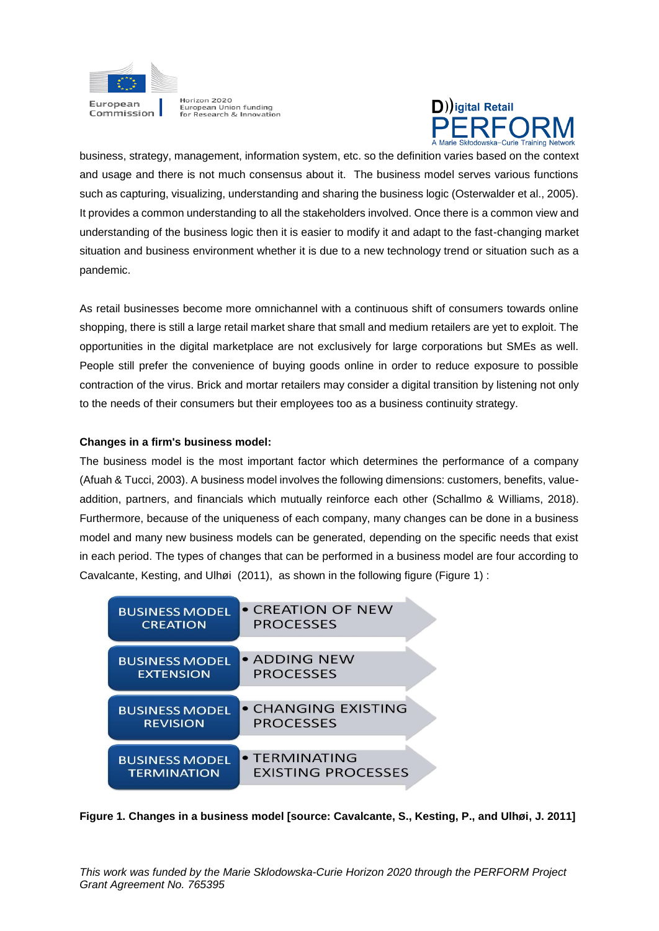



business, strategy, management, information system, etc. so the definition varies based on the context and usage and there is not much consensus about it. The business model serves various functions such as capturing, visualizing, understanding and sharing the business logic (Osterwalder et al., 2005). It provides a common understanding to all the stakeholders involved. Once there is a common view and understanding of the business logic then it is easier to modify it and adapt to the fast-changing market situation and business environment whether it is due to a new technology trend or situation such as a pandemic.

As retail businesses become more omnichannel with a continuous shift of consumers towards online shopping, there is still a large retail market share that small and medium retailers are yet to exploit. The opportunities in the digital marketplace are not exclusively for large corporations but SMEs as well. People still prefer the convenience of buying goods online in order to reduce exposure to possible contraction of the virus. Brick and mortar retailers may consider a digital transition by listening not only to the needs of their consumers but their employees too as a business continuity strategy.

## **Changes in a firm's business model:**

The business model is the most important factor which determines the performance of a company (Afuah & Tucci, 2003). A business model involves the following dimensions: customers, benefits, valueaddition, partners, and financials which mutually reinforce each other (Schallmo & Williams, 2018). Furthermore, because of the uniqueness of each company, many changes can be done in a business model and many new business models can be generated, depending on the specific needs that exist in each period. The types of changes that can be performed in a business model are four according to Cavalcante, Kesting, and Ulhøi (2011), as shown in the following figure (Figure 1) :

| <b>BUSINESS MODEL</b> | • CREATION OF NEW         |
|-----------------------|---------------------------|
| <b>CREATION</b>       | <b>PROCESSES</b>          |
| <b>BUSINESS MODEL</b> | • ADDING NEW              |
| <b>EXTENSION</b>      | <b>PROCESSES</b>          |
| <b>BUSINESS MODEL</b> | • CHANGING EXISTING       |
| <b>REVISION</b>       | <b>PROCESSES</b>          |
| <b>BUSINESS MODEL</b> | • TERMINATING             |
| <b>TERMINATION</b>    | <b>EXISTING PROCESSES</b> |

**Figure 1. Changes in a business model [source: Cavalcante, S., Kesting, P., and Ulhøi, J. 2011]**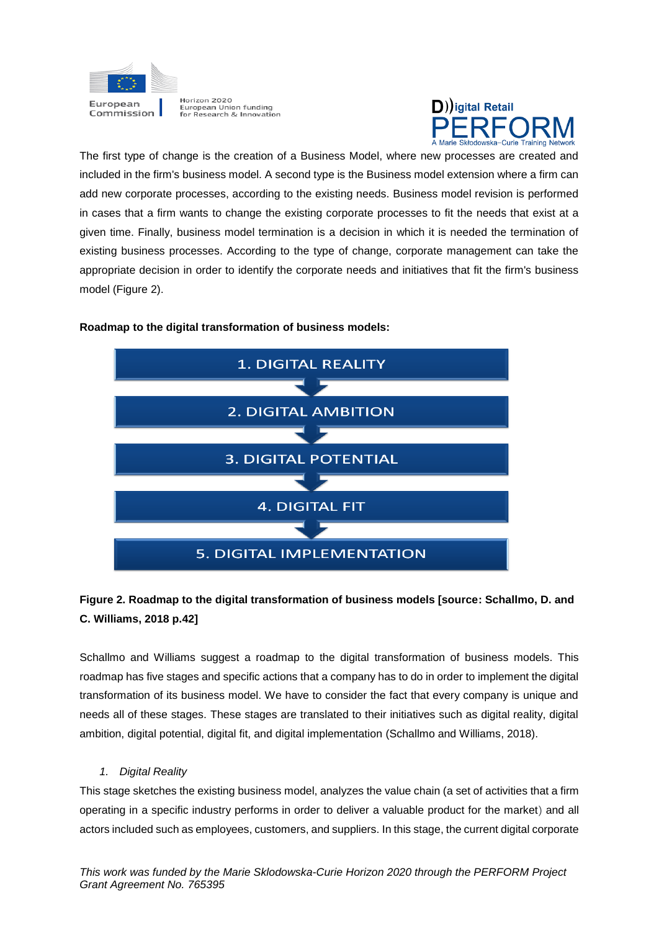



The first type of change is the creation of a Business Model, where new processes are created and included in the firm's business model. A second type is the Business model extension where a firm can add new corporate processes, according to the existing needs. Business model revision is performed in cases that a firm wants to change the existing corporate processes to fit the needs that exist at a given time. Finally, business model termination is a decision in which it is needed the termination of existing business processes. According to the type of change, corporate management can take the appropriate decision in order to identify the corporate needs and initiatives that fit the firm's business model (Figure 2).



## **Roadmap to the digital transformation of business models:**

## **Figure 2. Roadmap to the digital transformation of business models [source: Schallmo, D. and C. Williams, 2018 p.42]**

Schallmo and Williams suggest a roadmap to the digital transformation of business models. This roadmap has five stages and specific actions that a company has to do in order to implement the digital transformation of its business model. We have to consider the fact that every company is unique and needs all of these stages. These stages are translated to their initiatives such as digital reality, digital ambition, digital potential, digital fit, and digital implementation (Schallmo and Williams, 2018).

## *1. Digital Reality*

This stage sketches the existing business model, analyzes the value chain (a set of activities that a firm operating in a specific industry performs in order to deliver a valuable product for the market) and all actors included such as employees, customers, and suppliers. In this stage, the current digital corporate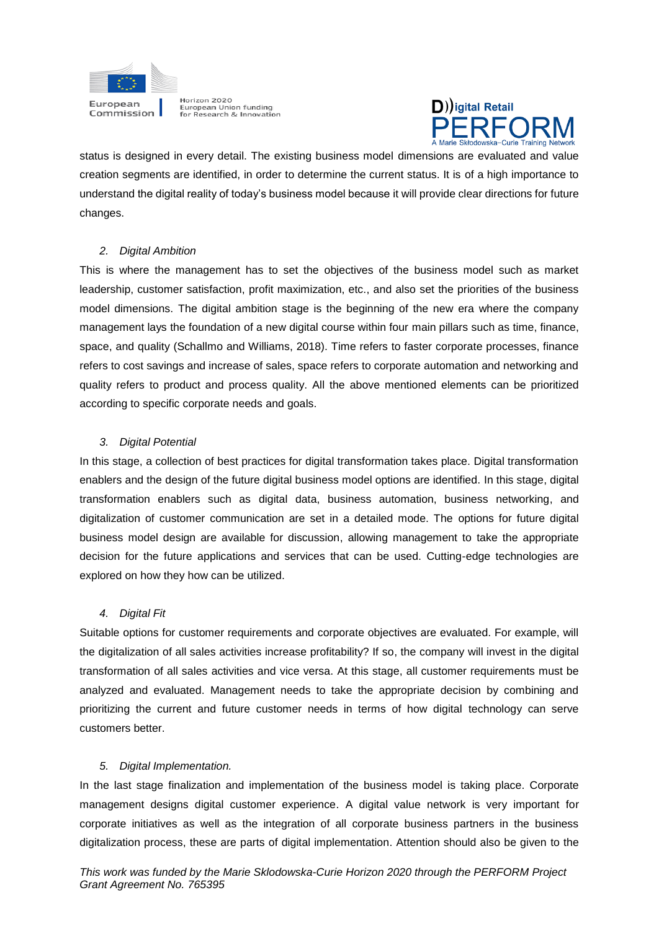



status is designed in every detail. The existing business model dimensions are evaluated and value creation segments are identified, in order to determine the current status. It is of a high importance to understand the digital reality of today's business model because it will provide clear directions for future changes.

## *2. Digital Ambition*

This is where the management has to set the objectives of the business model such as market leadership, customer satisfaction, profit maximization, etc., and also set the priorities of the business model dimensions. The digital ambition stage is the beginning of the new era where the company management lays the foundation of a new digital course within four main pillars such as time, finance, space, and quality (Schallmo and Williams, 2018). Time refers to faster corporate processes, finance refers to cost savings and increase of sales, space refers to corporate automation and networking and quality refers to product and process quality. All the above mentioned elements can be prioritized according to specific corporate needs and goals.

## *3. Digital Potential*

In this stage, a collection of best practices for digital transformation takes place. Digital transformation enablers and the design of the future digital business model options are identified. In this stage, digital transformation enablers such as digital data, business automation, business networking, and digitalization of customer communication are set in a detailed mode. The options for future digital business model design are available for discussion, allowing management to take the appropriate decision for the future applications and services that can be used. Cutting-edge technologies are explored on how they how can be utilized.

## *4. Digital Fit*

Suitable options for customer requirements and corporate objectives are evaluated. For example, will the digitalization of all sales activities increase profitability? If so, the company will invest in the digital transformation of all sales activities and vice versa. At this stage, all customer requirements must be analyzed and evaluated. Management needs to take the appropriate decision by combining and prioritizing the current and future customer needs in terms of how digital technology can serve customers better.

## *5. Digital Implementation.*

In the last stage finalization and implementation of the business model is taking place. Corporate management designs digital customer experience. A digital value network is very important for corporate initiatives as well as the integration of all corporate business partners in the business digitalization process, these are parts of digital implementation. Attention should also be given to the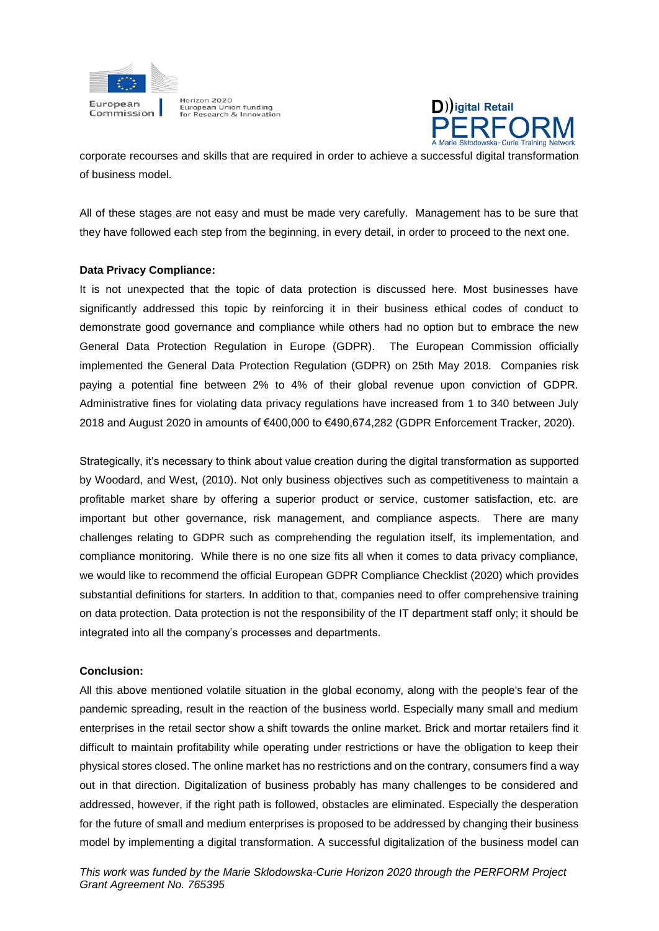



corporate recourses and skills that are required in order to achieve a successful digital transformation of business model.

All of these stages are not easy and must be made very carefully. Management has to be sure that they have followed each step from the beginning, in every detail, in order to proceed to the next one.

## **Data Privacy Compliance:**

It is not unexpected that the topic of data protection is discussed here. Most businesses have significantly addressed this topic by reinforcing it in their business ethical codes of conduct to demonstrate good governance and compliance while others had no option but to embrace the new General Data Protection Regulation in Europe (GDPR). The European Commission officially implemented the General Data Protection Regulation (GDPR) on 25th May 2018. Companies risk paying a potential fine between 2% to 4% of their global revenue upon conviction of GDPR. Administrative fines for violating data privacy regulations have increased from 1 to 340 between July 2018 and August 2020 in amounts of €400,000 to €490,674,282 (GDPR Enforcement Tracker, 2020).

Strategically, it's necessary to think about value creation during the digital transformation as supported by Woodard, and West, (2010). Not only business objectives such as competitiveness to maintain a profitable market share by offering a superior product or service, customer satisfaction, etc. are important but other governance, risk management, and compliance aspects. There are many challenges relating to GDPR such as comprehending the regulation itself, its implementation, and compliance monitoring. While there is no one size fits all when it comes to data privacy compliance, we would like to recommend the official European GDPR Compliance Checklist (2020) which provides substantial definitions for starters. In addition to that, companies need to offer comprehensive training on data protection. Data protection is not the responsibility of the IT department staff only; it should be integrated into all the company's processes and departments.

## **Conclusion:**

All this above mentioned volatile situation in the global economy, along with the people's fear of the pandemic spreading, result in the reaction of the business world. Especially many small and medium enterprises in the retail sector show a shift towards the online market. Brick and mortar retailers find it difficult to maintain profitability while operating under restrictions or have the obligation to keep their physical stores closed. The online market has no restrictions and on the contrary, consumers find a way out in that direction. Digitalization of business probably has many challenges to be considered and addressed, however, if the right path is followed, obstacles are eliminated. Especially the desperation for the future of small and medium enterprises is proposed to be addressed by changing their business model by implementing a digital transformation. A successful digitalization of the business model can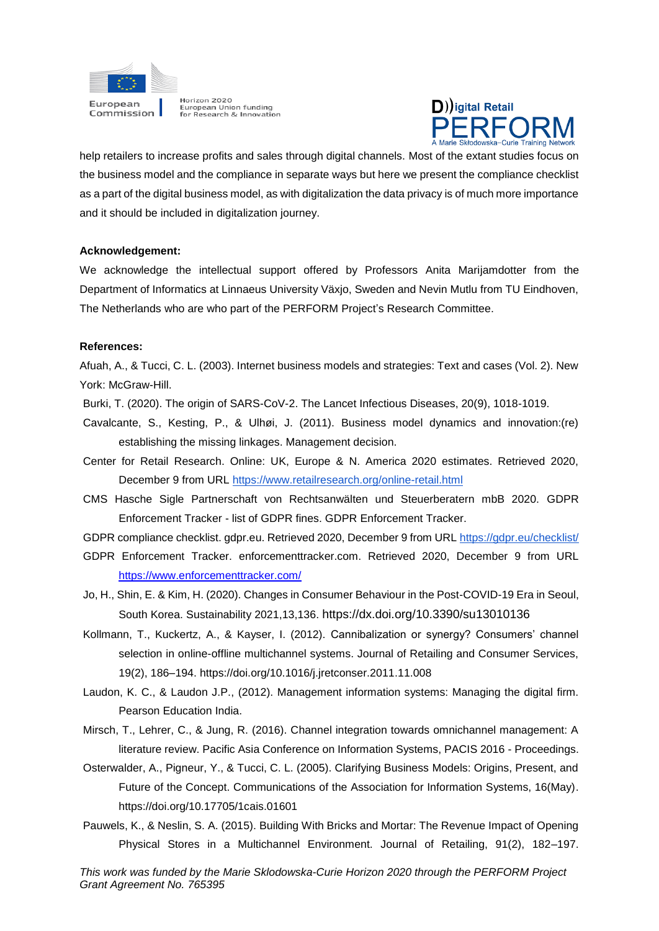



help retailers to increase profits and sales through digital channels. Most of the extant studies focus on the business model and the compliance in separate ways but here we present the compliance checklist as a part of the digital business model, as with digitalization the data privacy is of much more importance and it should be included in digitalization journey.

#### **Acknowledgement:**

We acknowledge the intellectual support offered by Professors Anita Marijamdotter from the Department of Informatics at Linnaeus University Växjo, Sweden and Nevin Mutlu from TU Eindhoven, The Netherlands who are who part of the PERFORM Project's Research Committee.

#### **References:**

Afuah, A., & Tucci, C. L. (2003). Internet business models and strategies: Text and cases (Vol. 2). New York: McGraw-Hill.

Burki, T. (2020). The origin of SARS-CoV-2. The Lancet Infectious Diseases, 20(9), 1018-1019.

- Cavalcante, S., Kesting, P., & Ulhøi, J. (2011). Business model dynamics and innovation:(re) establishing the missing linkages. Management decision.
- Center for Retail Research. Online: UK, Europe & N. America 2020 estimates. Retrieved 2020, December 9 from URL<https://www.retailresearch.org/online-retail.html>
- CMS Hasche Sigle Partnerschaft von Rechtsanwälten und Steuerberatern mbB 2020. GDPR Enforcement Tracker - list of GDPR fines. GDPR Enforcement Tracker.

GDPR compliance checklist. gdpr.eu. Retrieved 2020, December 9 from UR[L https://gdpr.eu/checklist/](https://gdpr.eu/checklist/)

- GDPR Enforcement Tracker. enforcementtracker.com. Retrieved 2020, December 9 from URL <https://www.enforcementtracker.com/>
- Jo, H., Shin, E. & Kim, H. (2020). Changes in Consumer Behaviour in the Post-COVID-19 Era in Seoul, South Korea. Sustainability 2021,13,136. https://dx.doi.org/10.3390/su13010136
- Kollmann, T., Kuckertz, A., & Kayser, I. (2012). Cannibalization or synergy? Consumers' channel selection in online-offline multichannel systems. Journal of Retailing and Consumer Services, 19(2), 186–194. https://doi.org/10.1016/j.jretconser.2011.11.008
- Laudon, K. C., & Laudon J.P., (2012). Management information systems: Managing the digital firm. Pearson Education India.
- Mirsch, T., Lehrer, C., & Jung, R. (2016). Channel integration towards omnichannel management: A literature review. Pacific Asia Conference on Information Systems, PACIS 2016 - Proceedings.
- Osterwalder, A., Pigneur, Y., & Tucci, C. L. (2005). Clarifying Business Models: Origins, Present, and Future of the Concept. Communications of the Association for Information Systems, 16(May). https://doi.org/10.17705/1cais.01601
- Pauwels, K., & Neslin, S. A. (2015). Building With Bricks and Mortar: The Revenue Impact of Opening Physical Stores in a Multichannel Environment. Journal of Retailing, 91(2), 182–197.

*This work was funded by the Marie Sklodowska-Curie Horizon 2020 through the PERFORM Project Grant Agreement No. 765395*